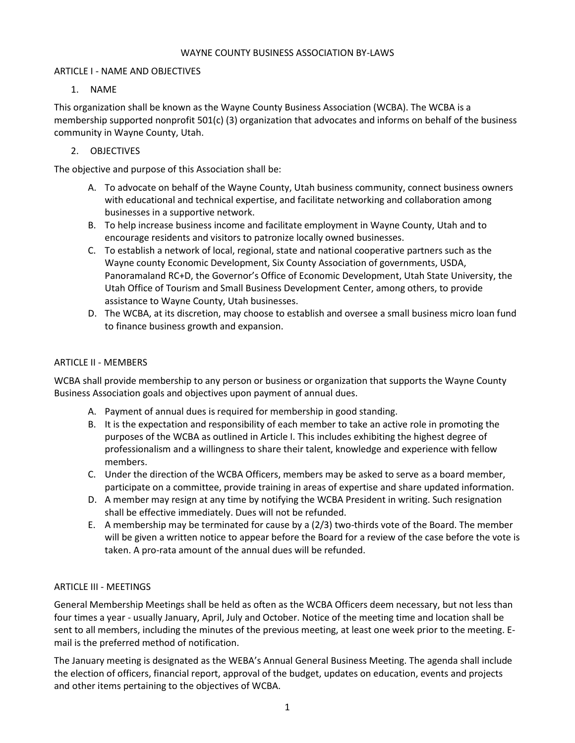#### WAYNE COUNTY BUSINESS ASSOCIATION BY-LAWS

### ARTICLE I - NAME AND OBJECTIVES

### 1. NAME

This organization shall be known as the Wayne County Business Association (WCBA). The WCBA is a membership supported nonprofit 501(c) (3) organization that advocates and informs on behalf of the business community in Wayne County, Utah.

## 2. OBJECTIVES

The objective and purpose of this Association shall be:

- A. To advocate on behalf of the Wayne County, Utah business community, connect business owners with educational and technical expertise, and facilitate networking and collaboration among businesses in a supportive network.
- B. To help increase business income and facilitate employment in Wayne County, Utah and to encourage residents and visitors to patronize locally owned businesses.
- C. To establish a network of local, regional, state and national cooperative partners such as the Wayne county Economic Development, Six County Association of governments, USDA, Panoramaland RC+D, the Governor's Office of Economic Development, Utah State University, the Utah Office of Tourism and Small Business Development Center, among others, to provide assistance to Wayne County, Utah businesses.
- D. The WCBA, at its discretion, may choose to establish and oversee a small business micro loan fund to finance business growth and expansion.

### ARTICLE II - MEMBERS

WCBA shall provide membership to any person or business or organization that supports the Wayne County Business Association goals and objectives upon payment of annual dues.

- A. Payment of annual dues is required for membership in good standing.
- B. It is the expectation and responsibility of each member to take an active role in promoting the purposes of the WCBA as outlined in Article I. This includes exhibiting the highest degree of professionalism and a willingness to share their talent, knowledge and experience with fellow members.
- C. Under the direction of the WCBA Officers, members may be asked to serve as a board member, participate on a committee, provide training in areas of expertise and share updated information.
- D. A member may resign at any time by notifying the WCBA President in writing. Such resignation shall be effective immediately. Dues will not be refunded.
- E. A membership may be terminated for cause by a (2/3) two-thirds vote of the Board. The member will be given a written notice to appear before the Board for a review of the case before the vote is taken. A pro-rata amount of the annual dues will be refunded.

## ARTICLE III - MEETINGS

General Membership Meetings shall be held as often as the WCBA Officers deem necessary, but not less than four times a year - usually January, April, July and October. Notice of the meeting time and location shall be sent to all members, including the minutes of the previous meeting, at least one week prior to the meeting. Email is the preferred method of notification.

The January meeting is designated as the WEBA's Annual General Business Meeting. The agenda shall include the election of officers, financial report, approval of the budget, updates on education, events and projects and other items pertaining to the objectives of WCBA.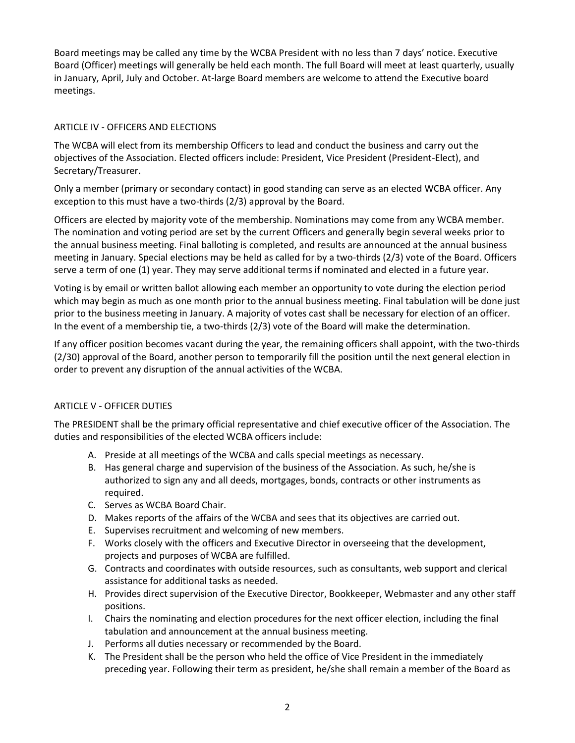Board meetings may be called any time by the WCBA President with no less than 7 days' notice. Executive Board (Officer) meetings will generally be held each month. The full Board will meet at least quarterly, usually in January, April, July and October. At-large Board members are welcome to attend the Executive board meetings.

## ARTICLE IV - OFFICERS AND ELECTIONS

The WCBA will elect from its membership Officers to lead and conduct the business and carry out the objectives of the Association. Elected officers include: President, Vice President (President-Elect), and Secretary/Treasurer.

Only a member (primary or secondary contact) in good standing can serve as an elected WCBA officer. Any exception to this must have a two-thirds (2/3) approval by the Board.

Officers are elected by majority vote of the membership. Nominations may come from any WCBA member. The nomination and voting period are set by the current Officers and generally begin several weeks prior to the annual business meeting. Final balloting is completed, and results are announced at the annual business meeting in January. Special elections may be held as called for by a two-thirds (2/3) vote of the Board. Officers serve a term of one (1) year. They may serve additional terms if nominated and elected in a future year.

Voting is by email or written ballot allowing each member an opportunity to vote during the election period which may begin as much as one month prior to the annual business meeting. Final tabulation will be done just prior to the business meeting in January. A majority of votes cast shall be necessary for election of an officer. In the event of a membership tie, a two-thirds (2/3) vote of the Board will make the determination.

If any officer position becomes vacant during the year, the remaining officers shall appoint, with the two-thirds (2/30) approval of the Board, another person to temporarily fill the position until the next general election in order to prevent any disruption of the annual activities of the WCBA.

## ARTICLE V - OFFICER DUTIES

The PRESIDENT shall be the primary official representative and chief executive officer of the Association. The duties and responsibilities of the elected WCBA officers include:

- A. Preside at all meetings of the WCBA and calls special meetings as necessary.
- B. Has general charge and supervision of the business of the Association. As such, he/she is authorized to sign any and all deeds, mortgages, bonds, contracts or other instruments as required.
- C. Serves as WCBA Board Chair.
- D. Makes reports of the affairs of the WCBA and sees that its objectives are carried out.
- E. Supervises recruitment and welcoming of new members.
- F. Works closely with the officers and Executive Director in overseeing that the development, projects and purposes of WCBA are fulfilled.
- G. Contracts and coordinates with outside resources, such as consultants, web support and clerical assistance for additional tasks as needed.
- H. Provides direct supervision of the Executive Director, Bookkeeper, Webmaster and any other staff positions.
- I. Chairs the nominating and election procedures for the next officer election, including the final tabulation and announcement at the annual business meeting.
- J. Performs all duties necessary or recommended by the Board.
- K. The President shall be the person who held the office of Vice President in the immediately preceding year. Following their term as president, he/she shall remain a member of the Board as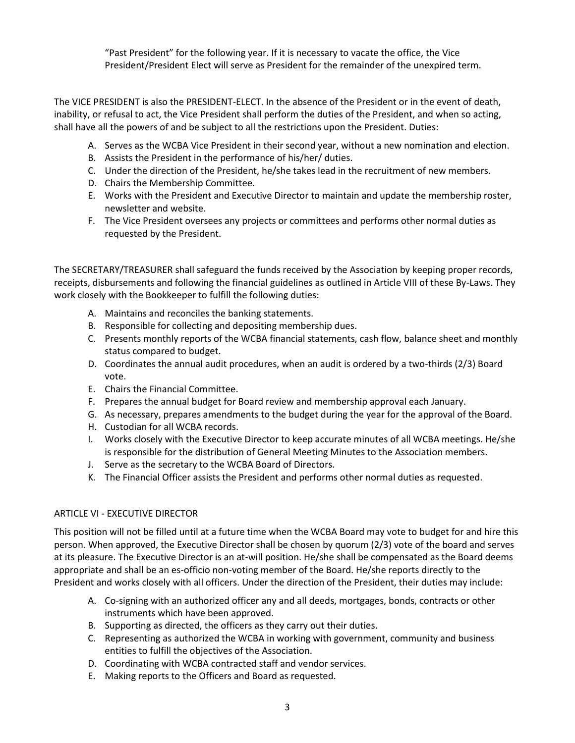"Past President" for the following year. If it is necessary to vacate the office, the Vice President/President Elect will serve as President for the remainder of the unexpired term.

The VICE PRESIDENT is also the PRESIDENT-ELECT. In the absence of the President or in the event of death, inability, or refusal to act, the Vice President shall perform the duties of the President, and when so acting, shall have all the powers of and be subject to all the restrictions upon the President. Duties:

- A. Serves as the WCBA Vice President in their second year, without a new nomination and election.
- B. Assists the President in the performance of his/her/ duties.
- C. Under the direction of the President, he/she takes lead in the recruitment of new members.
- D. Chairs the Membership Committee.
- E. Works with the President and Executive Director to maintain and update the membership roster, newsletter and website.
- F. The Vice President oversees any projects or committees and performs other normal duties as requested by the President.

The SECRETARY/TREASURER shall safeguard the funds received by the Association by keeping proper records, receipts, disbursements and following the financial guidelines as outlined in Article VIII of these By-Laws. They work closely with the Bookkeeper to fulfill the following duties:

- A. Maintains and reconciles the banking statements.
- B. Responsible for collecting and depositing membership dues.
- C. Presents monthly reports of the WCBA financial statements, cash flow, balance sheet and monthly status compared to budget.
- D. Coordinates the annual audit procedures, when an audit is ordered by a two-thirds (2/3) Board vote.
- E. Chairs the Financial Committee.
- F. Prepares the annual budget for Board review and membership approval each January.
- G. As necessary, prepares amendments to the budget during the year for the approval of the Board.
- H. Custodian for all WCBA records.
- I. Works closely with the Executive Director to keep accurate minutes of all WCBA meetings. He/she is responsible for the distribution of General Meeting Minutes to the Association members.
- J. Serve as the secretary to the WCBA Board of Directors.
- K. The Financial Officer assists the President and performs other normal duties as requested.

# ARTICLE VI - EXECUTIVE DIRECTOR

This position will not be filled until at a future time when the WCBA Board may vote to budget for and hire this person. When approved, the Executive Director shall be chosen by quorum (2/3) vote of the board and serves at its pleasure. The Executive Director is an at-will position. He/she shall be compensated as the Board deems appropriate and shall be an es-officio non-voting member of the Board. He/she reports directly to the President and works closely with all officers. Under the direction of the President, their duties may include:

- A. Co-signing with an authorized officer any and all deeds, mortgages, bonds, contracts or other instruments which have been approved.
- B. Supporting as directed, the officers as they carry out their duties.
- C. Representing as authorized the WCBA in working with government, community and business entities to fulfill the objectives of the Association.
- D. Coordinating with WCBA contracted staff and vendor services.
- E. Making reports to the Officers and Board as requested.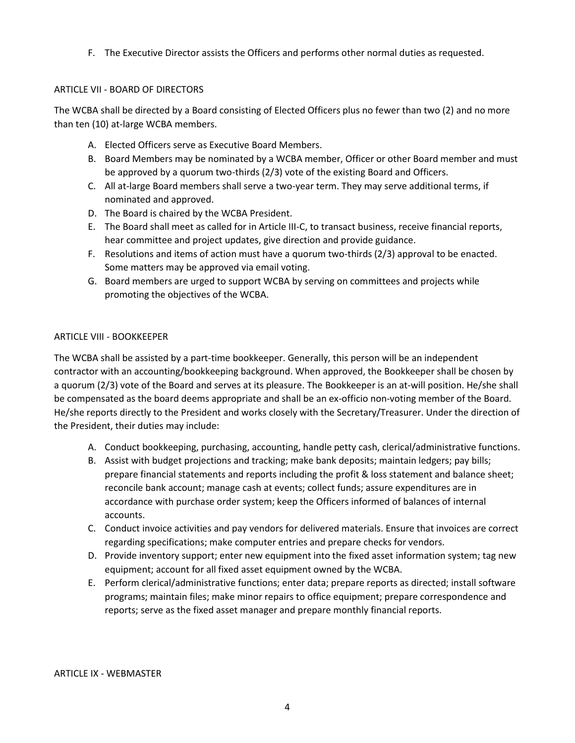F. The Executive Director assists the Officers and performs other normal duties as requested.

### ARTICLE VII - BOARD OF DIRECTORS

The WCBA shall be directed by a Board consisting of Elected Officers plus no fewer than two (2) and no more than ten (10) at-large WCBA members.

- A. Elected Officers serve as Executive Board Members.
- B. Board Members may be nominated by a WCBA member, Officer or other Board member and must be approved by a quorum two-thirds (2/3) vote of the existing Board and Officers.
- C. All at-large Board members shall serve a two-year term. They may serve additional terms, if nominated and approved.
- D. The Board is chaired by the WCBA President.
- E. The Board shall meet as called for in Article III-C, to transact business, receive financial reports, hear committee and project updates, give direction and provide guidance.
- F. Resolutions and items of action must have a quorum two-thirds (2/3) approval to be enacted. Some matters may be approved via email voting.
- G. Board members are urged to support WCBA by serving on committees and projects while promoting the objectives of the WCBA.

### ARTICLE VIII - BOOKKEEPER

The WCBA shall be assisted by a part-time bookkeeper. Generally, this person will be an independent contractor with an accounting/bookkeeping background. When approved, the Bookkeeper shall be chosen by a quorum (2/3) vote of the Board and serves at its pleasure. The Bookkeeper is an at-will position. He/she shall be compensated as the board deems appropriate and shall be an ex-officio non-voting member of the Board. He/she reports directly to the President and works closely with the Secretary/Treasurer. Under the direction of the President, their duties may include:

- A. Conduct bookkeeping, purchasing, accounting, handle petty cash, clerical/administrative functions.
- B. Assist with budget projections and tracking; make bank deposits; maintain ledgers; pay bills; prepare financial statements and reports including the profit & loss statement and balance sheet; reconcile bank account; manage cash at events; collect funds; assure expenditures are in accordance with purchase order system; keep the Officers informed of balances of internal accounts.
- C. Conduct invoice activities and pay vendors for delivered materials. Ensure that invoices are correct regarding specifications; make computer entries and prepare checks for vendors.
- D. Provide inventory support; enter new equipment into the fixed asset information system; tag new equipment; account for all fixed asset equipment owned by the WCBA.
- E. Perform clerical/administrative functions; enter data; prepare reports as directed; install software programs; maintain files; make minor repairs to office equipment; prepare correspondence and reports; serve as the fixed asset manager and prepare monthly financial reports.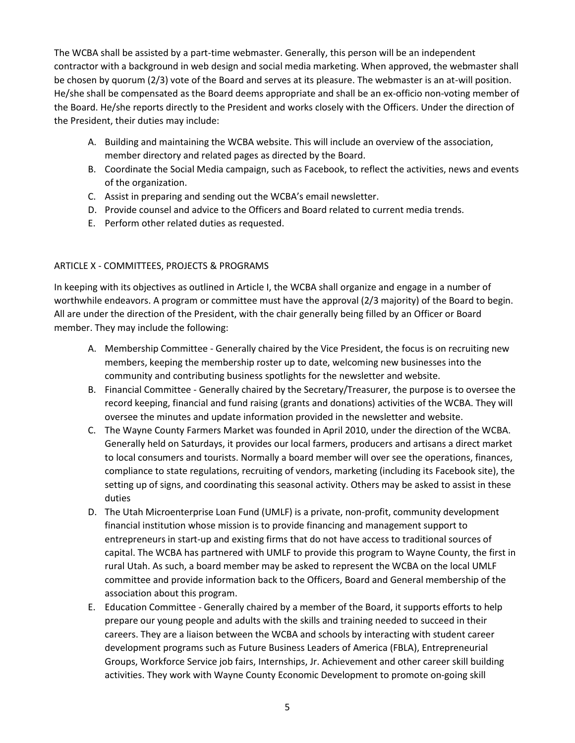The WCBA shall be assisted by a part-time webmaster. Generally, this person will be an independent contractor with a background in web design and social media marketing. When approved, the webmaster shall be chosen by quorum (2/3) vote of the Board and serves at its pleasure. The webmaster is an at-will position. He/she shall be compensated as the Board deems appropriate and shall be an ex-officio non-voting member of the Board. He/she reports directly to the President and works closely with the Officers. Under the direction of the President, their duties may include:

- A. Building and maintaining the WCBA website. This will include an overview of the association, member directory and related pages as directed by the Board.
- B. Coordinate the Social Media campaign, such as Facebook, to reflect the activities, news and events of the organization.
- C. Assist in preparing and sending out the WCBA's email newsletter.
- D. Provide counsel and advice to the Officers and Board related to current media trends.
- E. Perform other related duties as requested.

## ARTICLE X - COMMITTEES, PROJECTS & PROGRAMS

In keeping with its objectives as outlined in Article I, the WCBA shall organize and engage in a number of worthwhile endeavors. A program or committee must have the approval (2/3 majority) of the Board to begin. All are under the direction of the President, with the chair generally being filled by an Officer or Board member. They may include the following:

- A. Membership Committee Generally chaired by the Vice President, the focus is on recruiting new members, keeping the membership roster up to date, welcoming new businesses into the community and contributing business spotlights for the newsletter and website.
- B. Financial Committee Generally chaired by the Secretary/Treasurer, the purpose is to oversee the record keeping, financial and fund raising (grants and donations) activities of the WCBA. They will oversee the minutes and update information provided in the newsletter and website.
- C. The Wayne County Farmers Market was founded in April 2010, under the direction of the WCBA. Generally held on Saturdays, it provides our local farmers, producers and artisans a direct market to local consumers and tourists. Normally a board member will over see the operations, finances, compliance to state regulations, recruiting of vendors, marketing (including its Facebook site), the setting up of signs, and coordinating this seasonal activity. Others may be asked to assist in these duties
- D. The Utah Microenterprise Loan Fund (UMLF) is a private, non-profit, community development financial institution whose mission is to provide financing and management support to entrepreneurs in start-up and existing firms that do not have access to traditional sources of capital. The WCBA has partnered with UMLF to provide this program to Wayne County, the first in rural Utah. As such, a board member may be asked to represent the WCBA on the local UMLF committee and provide information back to the Officers, Board and General membership of the association about this program.
- E. Education Committee Generally chaired by a member of the Board, it supports efforts to help prepare our young people and adults with the skills and training needed to succeed in their careers. They are a liaison between the WCBA and schools by interacting with student career development programs such as Future Business Leaders of America (FBLA), Entrepreneurial Groups, Workforce Service job fairs, Internships, Jr. Achievement and other career skill building activities. They work with Wayne County Economic Development to promote on-going skill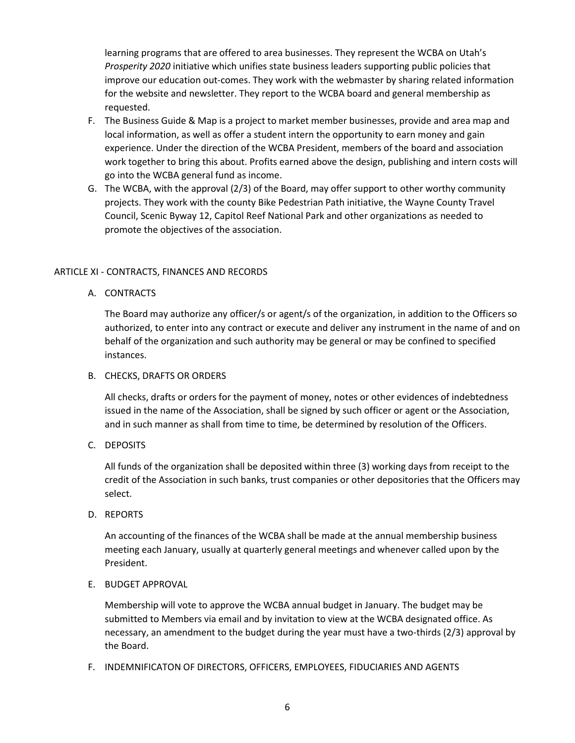learning programs that are offered to area businesses. They represent the WCBA on Utah's *Prosperity 2020* initiative which unifies state business leaders supporting public policies that improve our education out-comes. They work with the webmaster by sharing related information for the website and newsletter. They report to the WCBA board and general membership as requested.

- F. The Business Guide & Map is a project to market member businesses, provide and area map and local information, as well as offer a student intern the opportunity to earn money and gain experience. Under the direction of the WCBA President, members of the board and association work together to bring this about. Profits earned above the design, publishing and intern costs will go into the WCBA general fund as income.
- G. The WCBA, with the approval (2/3) of the Board, may offer support to other worthy community projects. They work with the county Bike Pedestrian Path initiative, the Wayne County Travel Council, Scenic Byway 12, Capitol Reef National Park and other organizations as needed to promote the objectives of the association.

### ARTICLE XI - CONTRACTS, FINANCES AND RECORDS

A. CONTRACTS

The Board may authorize any officer/s or agent/s of the organization, in addition to the Officers so authorized, to enter into any contract or execute and deliver any instrument in the name of and on behalf of the organization and such authority may be general or may be confined to specified instances.

### B. CHECKS, DRAFTS OR ORDERS

All checks, drafts or orders for the payment of money, notes or other evidences of indebtedness issued in the name of the Association, shall be signed by such officer or agent or the Association, and in such manner as shall from time to time, be determined by resolution of the Officers.

C. DEPOSITS

All funds of the organization shall be deposited within three (3) working days from receipt to the credit of the Association in such banks, trust companies or other depositories that the Officers may select.

D. REPORTS

An accounting of the finances of the WCBA shall be made at the annual membership business meeting each January, usually at quarterly general meetings and whenever called upon by the President.

E. BUDGET APPROVAL

Membership will vote to approve the WCBA annual budget in January. The budget may be submitted to Members via email and by invitation to view at the WCBA designated office. As necessary, an amendment to the budget during the year must have a two-thirds (2/3) approval by the Board.

F. INDEMNIFICATON OF DIRECTORS, OFFICERS, EMPLOYEES, FIDUCIARIES AND AGENTS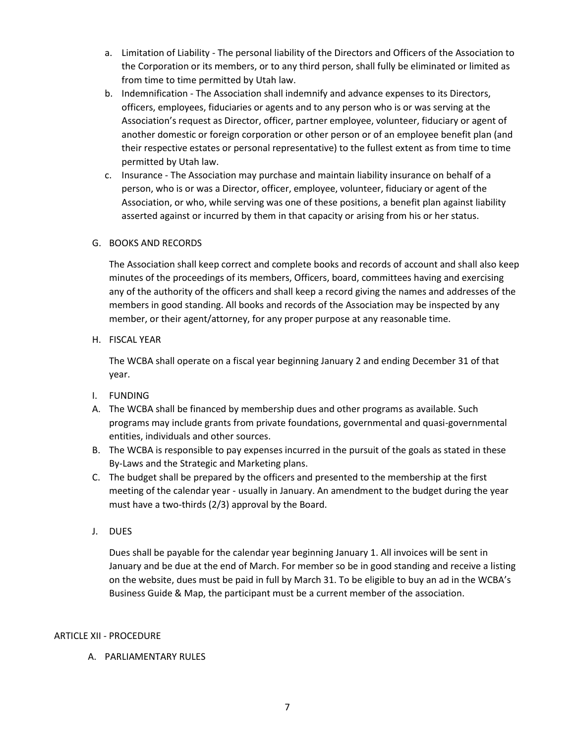- a. Limitation of Liability The personal liability of the Directors and Officers of the Association to the Corporation or its members, or to any third person, shall fully be eliminated or limited as from time to time permitted by Utah law.
- b. Indemnification The Association shall indemnify and advance expenses to its Directors, officers, employees, fiduciaries or agents and to any person who is or was serving at the Association's request as Director, officer, partner employee, volunteer, fiduciary or agent of another domestic or foreign corporation or other person or of an employee benefit plan (and their respective estates or personal representative) to the fullest extent as from time to time permitted by Utah law.
- c. Insurance The Association may purchase and maintain liability insurance on behalf of a person, who is or was a Director, officer, employee, volunteer, fiduciary or agent of the Association, or who, while serving was one of these positions, a benefit plan against liability asserted against or incurred by them in that capacity or arising from his or her status.

### G. BOOKS AND RECORDS

The Association shall keep correct and complete books and records of account and shall also keep minutes of the proceedings of its members, Officers, board, committees having and exercising any of the authority of the officers and shall keep a record giving the names and addresses of the members in good standing. All books and records of the Association may be inspected by any member, or their agent/attorney, for any proper purpose at any reasonable time.

H. FISCAL YEAR

The WCBA shall operate on a fiscal year beginning January 2 and ending December 31 of that year.

- I. FUNDING
- A. The WCBA shall be financed by membership dues and other programs as available. Such programs may include grants from private foundations, governmental and quasi-governmental entities, individuals and other sources.
- B. The WCBA is responsible to pay expenses incurred in the pursuit of the goals as stated in these By-Laws and the Strategic and Marketing plans.
- C. The budget shall be prepared by the officers and presented to the membership at the first meeting of the calendar year - usually in January. An amendment to the budget during the year must have a two-thirds (2/3) approval by the Board.
- J. DUES

Dues shall be payable for the calendar year beginning January 1. All invoices will be sent in January and be due at the end of March. For member so be in good standing and receive a listing on the website, dues must be paid in full by March 31. To be eligible to buy an ad in the WCBA's Business Guide & Map, the participant must be a current member of the association.

### ARTICLE XII - PROCEDURE

### A. PARLIAMENTARY RULES